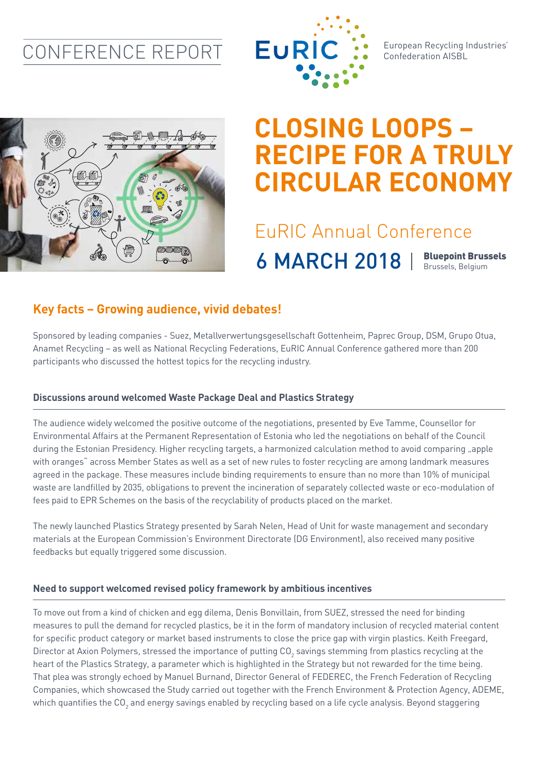### CONFERENCE REPORT



European Recycling Industries' Confederation AISBL



# **CLOSING LOOPS – RECIPE FOR A TRULY CIRCULAR ECONOMY**

## EuRIC Annual Conference 6 MARCH 2018 | Bluepoint Brussels

### **Key facts – Growing audience, vivid debates!**

Sponsored by leading companies - Suez, Metallverwertungsgesellschaft Gottenheim, Paprec Group, DSM, Grupo Otua, Anamet Recycling – as well as National Recycling Federations, EuRIC Annual Conference gathered more than 200 participants who discussed the hottest topics for the recycling industry.

#### **Discussions around welcomed Waste Package Deal and Plastics Strategy**

The audience widely welcomed the positive outcome of the negotiations, presented by Eve Tamme, Counsellor for Environmental Affairs at the Permanent Representation of Estonia who led the negotiations on behalf of the Council during the Estonian Presidency. Higher recycling targets, a harmonized calculation method to avoid comparing "apple with oranges" across Member States as well as a set of new rules to foster recycling are among landmark measures agreed in the package. These measures include binding requirements to ensure than no more than 10% of municipal waste are landfilled by 2035, obligations to prevent the incineration of separately collected waste or eco-modulation of fees paid to EPR Schemes on the basis of the recyclability of products placed on the market.

The newly launched Plastics Strategy presented by Sarah Nelen, Head of Unit for waste management and secondary materials at the European Commission's Environment Directorate (DG Environment), also received many positive feedbacks but equally triggered some discussion.

#### **Need to support welcomed revised policy framework by ambitious incentives**

To move out from a kind of chicken and egg dilema, Denis Bonvillain, from SUEZ, stressed the need for binding measures to pull the demand for recycled plastics, be it in the form of mandatory inclusion of recycled material content for specific product category or market based instruments to close the price gap with virgin plastics. Keith Freegard, Director at Axion Polymers, stressed the importance of putting CO<sub>2</sub> savings stemming from plastics recycling at the heart of the Plastics Strategy, a parameter which is highlighted in the Strategy but not rewarded for the time being. That plea was strongly echoed by Manuel Burnand, Director General of FEDEREC, the French Federation of Recycling Companies, which showcased the Study carried out together with the French Environment & Protection Agency, ADEME, which quantifies the CO<sub>2</sub> and energy savings enabled by recycling based on a life cycle analysis. Beyond staggering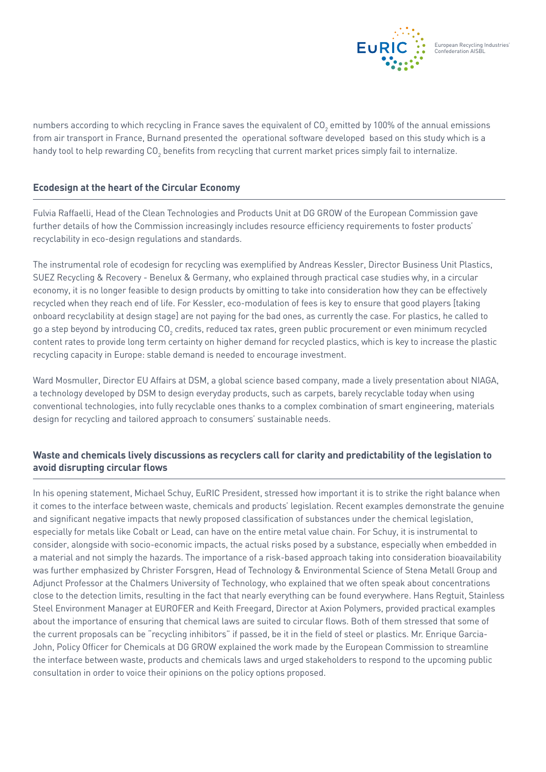

numbers according to which recycling in France saves the equivalent of CO<sub>2</sub> emitted by 100% of the annual emissions from air transport in France, Burnand presented the operational software developed based on this study which is a handy tool to help rewarding CO<sub>2</sub> benefits from recycling that current market prices simply fail to internalize.

#### **Ecodesign at the heart of the Circular Economy**

Fulvia Raffaelli, Head of the Clean Technologies and Products Unit at DG GROW of the European Commission gave further details of how the Commission increasingly includes resource efficiency requirements to foster products' recyclability in eco-design regulations and standards.

The instrumental role of ecodesign for recycling was exemplified by Andreas Kessler, Director Business Unit Plastics, SUEZ Recycling & Recovery - Benelux & Germany, who explained through practical case studies why, in a circular economy, it is no longer feasible to design products by omitting to take into consideration how they can be effectively recycled when they reach end of life. For Kessler, eco-modulation of fees is key to ensure that good players [taking onboard recyclability at design stage] are not paying for the bad ones, as currently the case. For plastics, he called to go a step beyond by introducing CO $_{_2}$  credits, reduced tax rates, green public procurement or even minimum recycled content rates to provide long term certainty on higher demand for recycled plastics, which is key to increase the plastic recycling capacity in Europe: stable demand is needed to encourage investment.

Ward Mosmuller, Director EU Affairs at DSM, a global science based company, made a lively presentation about NIAGA, a technology developed by DSM to design everyday products, such as carpets, barely recyclable today when using conventional technologies, into fully recyclable ones thanks to a complex combination of smart engineering, materials design for recycling and tailored approach to consumers' sustainable needs.

#### **Waste and chemicals lively discussions as recyclers call for clarity and predictability of the legislation to avoid disrupting circular flows**

In his opening statement, Michael Schuy, EuRIC President, stressed how important it is to strike the right balance when it comes to the interface between waste, chemicals and products' legislation. Recent examples demonstrate the genuine and significant negative impacts that newly proposed classification of substances under the chemical legislation, especially for metals like Cobalt or Lead, can have on the entire metal value chain. For Schuy, it is instrumental to consider, alongside with socio-economic impacts, the actual risks posed by a substance, especially when embedded in a material and not simply the hazards. The importance of a risk-based approach taking into consideration bioavailability was further emphasized by Christer Forsgren, Head of Technology & Environmental Science of Stena Metall Group and Adjunct Professor at the Chalmers University of Technology, who explained that we often speak about concentrations close to the detection limits, resulting in the fact that nearly everything can be found everywhere. Hans Regtuit, Stainless Steel Environment Manager at EUROFER and Keith Freegard, Director at Axion Polymers, provided practical examples about the importance of ensuring that chemical laws are suited to circular flows. Both of them stressed that some of the current proposals can be "recycling inhibitors" if passed, be it in the field of steel or plastics. Mr. Enrique Garcia-John, Policy Officer for Chemicals at DG GROW explained the work made by the European Commission to streamline the interface between waste, products and chemicals laws and urged stakeholders to respond to the upcoming public consultation in order to voice their opinions on the policy options proposed.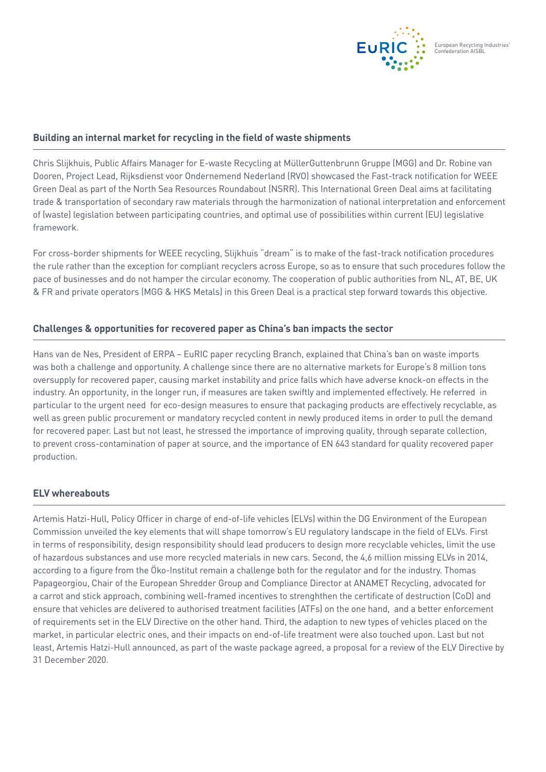

#### **Building an internal market for recycling in the field of waste shipments**

Chris Slijkhuis, Public Affairs Manager for E-waste Recycling at MüllerGuttenbrunn Gruppe (MGG) and Dr. Robine van Dooren, Project Lead, Rijksdienst voor Ondernemend Nederland (RVO) showcased the Fast-track notification for WEEE Green Deal as part of the North Sea Resources Roundabout (NSRR). This International Green Deal aims at facilitating trade & transportation of secondary raw materials through the harmonization of national interpretation and enforcement of (waste) legislation between participating countries, and optimal use of possibilities within current (EU) legislative framework.

For cross-border shipments for WEEE recycling, Slijkhuis "dream" is to make of the fast-track notification procedures the rule rather than the exception for compliant recyclers across Europe, so as to ensure that such procedures follow the pace of businesses and do not hamper the circular economy. The cooperation of public authorities from NL, AT, BE, UK & FR and private operators (MGG & HKS Metals) in this Green Deal is a practical step forward towards this objective.

#### **Challenges & opportunities for recovered paper as China's ban impacts the sector**

Hans van de Nes, President of ERPA – EuRIC paper recycling Branch, explained that China's ban on waste imports was both a challenge and opportunity. A challenge since there are no alternative markets for Europe's 8 million tons oversupply for recovered paper, causing market instability and price falls which have adverse knock-on effects in the industry. An opportunity, in the longer run, if measures are taken swiftly and implemented effectively. He referred in particular to the urgent need for eco-design measures to ensure that packaging products are effectively recyclable, as well as green public procurement or mandatory recycled content in newly produced items in order to pull the demand for recovered paper. Last but not least, he stressed the importance of improving quality, through separate collection, to prevent cross-contamination of paper at source, and the importance of EN 643 standard for quality recovered paper production.

#### **ELV whereabouts**

Artemis Hatzi-Hull, Policy Officer in charge of end-of-life vehicles (ELVs) within the DG Environment of the European Commission unveiled the key elements that will shape tomorrow's EU regulatory landscape in the field of ELVs. First in terms of responsibility, design responsibility should lead producers to design more recyclable vehicles, limit the use of hazardous substances and use more recycled materials in new cars. Second, the 4,6 million missing ELVs in 2014, according to a figure from the Öko-Institut remain a challenge both for the regulator and for the industry. Thomas Papageorgiou, Chair of the European Shredder Group and Compliance Director at ANAMET Recycling, advocated for a carrot and stick approach, combining well-framed incentives to strenghthen the certificate of destruction (CoD) and ensure that vehicles are delivered to authorised treatment facilities (ATFs) on the one hand, and a better enforcement of requirements set in the ELV Directive on the other hand. Third, the adaption to new types of vehicles placed on the market, in particular electric ones, and their impacts on end-of-life treatment were also touched upon. Last but not least, Artemis Hatzi-Hull announced, as part of the waste package agreed, a proposal for a review of the ELV Directive by 31 December 2020.